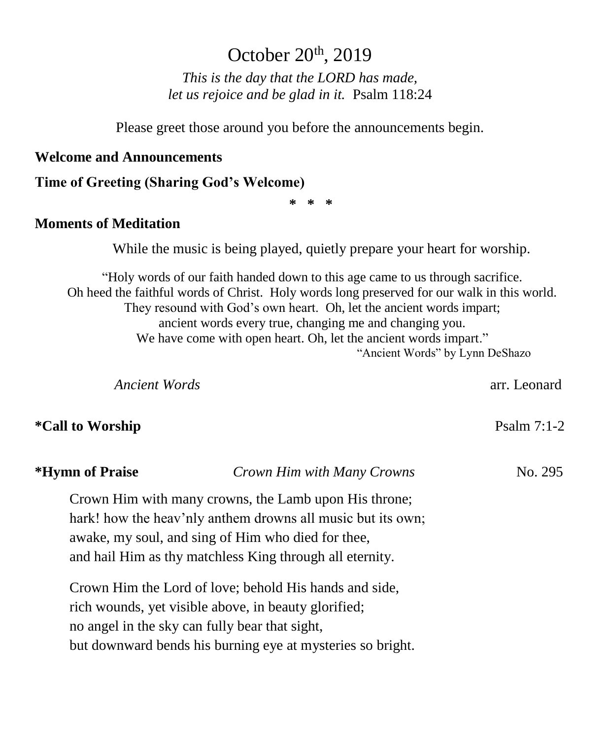# October 20th, 2019

*This is the day that the LORD has made, let us rejoice and be glad in it.* Psalm 118:24

Please greet those around you before the announcements begin.

### **Welcome and Announcements**

### **Time of Greeting (Sharing God's Welcome)**

**\* \* \***

## **Moments of Meditation**

While the music is being played, quietly prepare your heart for worship.

"Holy words of our faith handed down to this age came to us through sacrifice. Oh heed the faithful words of Christ. Holy words long preserved for our walk in this world. They resound with God's own heart. Oh, let the ancient words impart; ancient words every true, changing me and changing you. We have come with open heart. Oh, let the ancient words impart." "Ancient Words" by Lynn DeShazo

 *Ancient Words* arr. Leonard

## **\*Call to Worship** Psalm 7:1-2

| <i><b>*Hymn of Praise</b></i> | Crown Him with Many Crowns                                  | No. 295 |
|-------------------------------|-------------------------------------------------------------|---------|
|                               | Crown Him with many crowns, the Lamb upon His throne;       |         |
|                               | hark! how the heav'nly anthem drowns all music but its own; |         |
|                               | awake, my soul, and sing of Him who died for thee,          |         |
|                               | and hail Him as thy matchless King through all eternity.    |         |
|                               | Crown Him the Lord of love; behold His hands and side,      |         |
|                               | rich wounds, yet visible above, in beauty glorified;        |         |
|                               | no angel in the sky can fully bear that sight,              |         |
|                               | but downward bends his burning eye at mysteries so bright.  |         |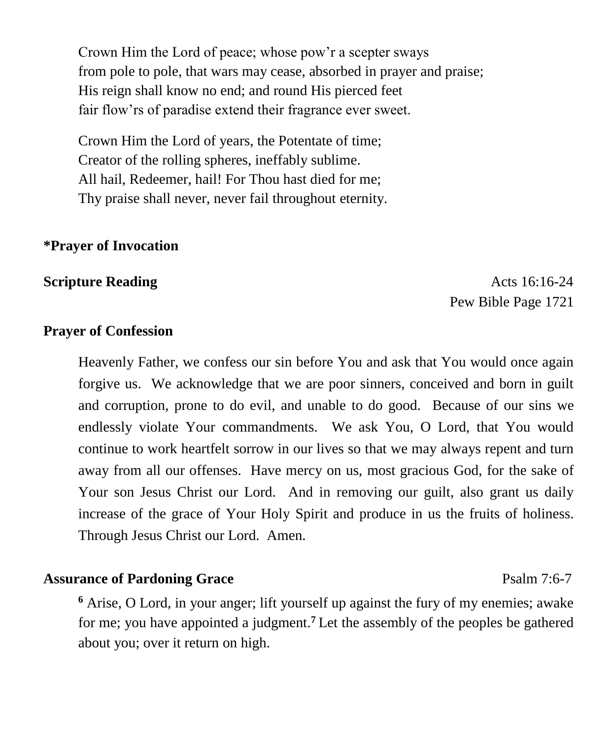Crown Him the Lord of peace; whose pow'r a scepter sways from pole to pole, that wars may cease, absorbed in prayer and praise; His reign shall know no end; and round His pierced feet fair flow'rs of paradise extend their fragrance ever sweet.

Crown Him the Lord of years, the Potentate of time; Creator of the rolling spheres, ineffably sublime. All hail, Redeemer, hail! For Thou hast died for me; Thy praise shall never, never fail throughout eternity.

## **\*Prayer of Invocation**

# **Scripture Reading** Acts 16:16-24 Pew Bible Page 1721

# **Prayer of Confession**

Heavenly Father, we confess our sin before You and ask that You would once again forgive us. We acknowledge that we are poor sinners, conceived and born in guilt and corruption, prone to do evil, and unable to do good. Because of our sins we endlessly violate Your commandments. We ask You, O Lord, that You would continue to work heartfelt sorrow in our lives so that we may always repent and turn away from all our offenses. Have mercy on us, most gracious God, for the sake of Your son Jesus Christ our Lord. And in removing our guilt, also grant us daily increase of the grace of Your Holy Spirit and produce in us the fruits of holiness. Through Jesus Christ our Lord. Amen.

# **Assurance of Pardoning Grace** Psalm 7:6-7

**<sup>6</sup>** Arise, O Lord, in your anger; lift yourself up against the fury of my enemies; awake for me; you have appointed a judgment.**<sup>7</sup>**Let the assembly of the peoples be gathered about you; over it return on high.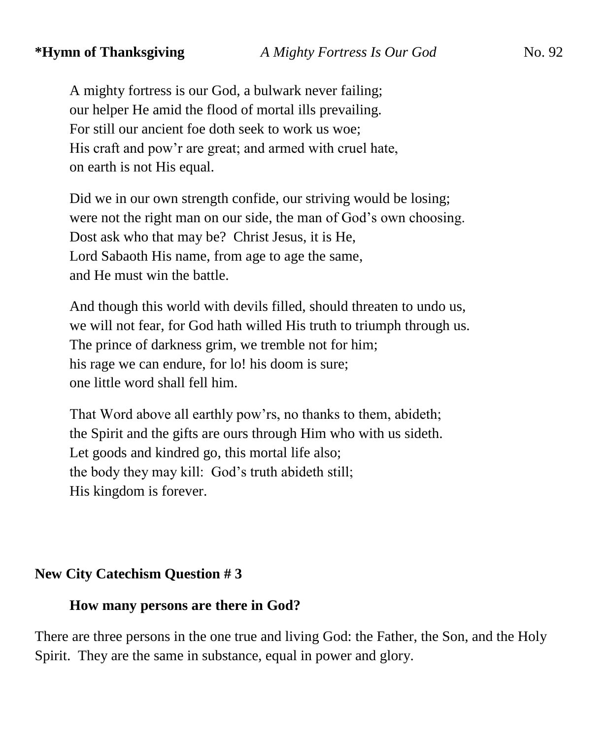A mighty fortress is our God, a bulwark never failing; our helper He amid the flood of mortal ills prevailing. For still our ancient foe doth seek to work us woe; His craft and pow'r are great; and armed with cruel hate, on earth is not His equal.

Did we in our own strength confide, our striving would be losing; were not the right man on our side, the man of God's own choosing. Dost ask who that may be? Christ Jesus, it is He, Lord Sabaoth His name, from age to age the same, and He must win the battle.

And though this world with devils filled, should threaten to undo us, we will not fear, for God hath willed His truth to triumph through us. The prince of darkness grim, we tremble not for him; his rage we can endure, for lo! his doom is sure; one little word shall fell him.

That Word above all earthly pow'rs, no thanks to them, abideth; the Spirit and the gifts are ours through Him who with us sideth. Let goods and kindred go, this mortal life also; the body they may kill: God's truth abideth still; His kingdom is forever.

# **New City Catechism Question # 3**

# **How many persons are there in God?**

There are three persons in the one true and living God: the Father, the Son, and the Holy Spirit. They are the same in substance, equal in power and glory.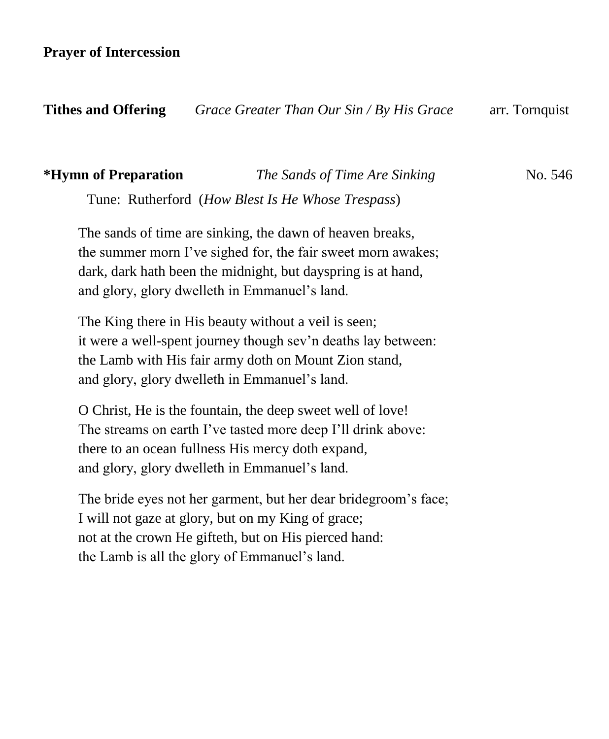| <b>Tithes and Offering</b> | Grace Greater Than Our Sin / By His Grace | arr. Tornquist |
|----------------------------|-------------------------------------------|----------------|
|----------------------------|-------------------------------------------|----------------|

| <i><b>*Hymn of Preparation</b></i> | The Sands of Time Are Sinking | No. 546 |
|------------------------------------|-------------------------------|---------|
|------------------------------------|-------------------------------|---------|

Tune: Rutherford (*How Blest Is He Whose Trespass*)

The sands of time are sinking, the dawn of heaven breaks, the summer morn I've sighed for, the fair sweet morn awakes; dark, dark hath been the midnight, but dayspring is at hand, and glory, glory dwelleth in Emmanuel's land.

The King there in His beauty without a veil is seen; it were a well-spent journey though sev'n deaths lay between: the Lamb with His fair army doth on Mount Zion stand, and glory, glory dwelleth in Emmanuel's land.

O Christ, He is the fountain, the deep sweet well of love! The streams on earth I've tasted more deep I'll drink above: there to an ocean fullness His mercy doth expand, and glory, glory dwelleth in Emmanuel's land.

The bride eyes not her garment, but her dear bridegroom's face; I will not gaze at glory, but on my King of grace; not at the crown He gifteth, but on His pierced hand: the Lamb is all the glory of Emmanuel's land.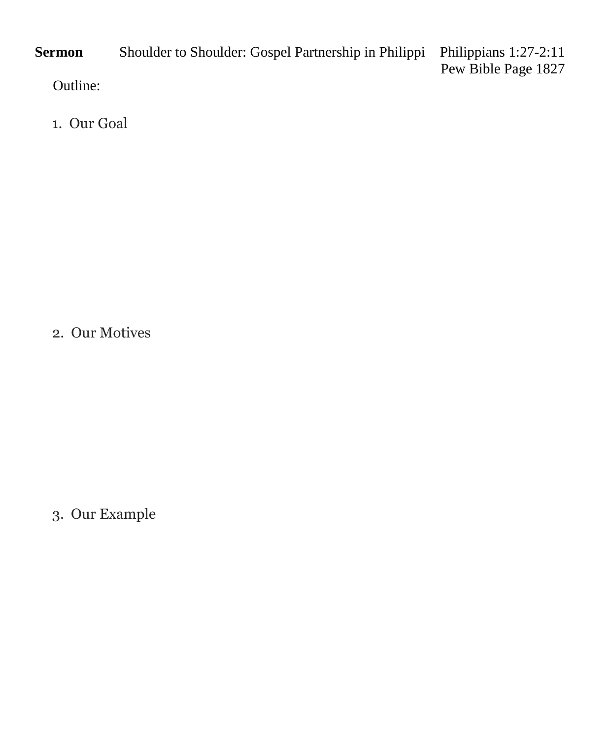**Sermon** Shoulder to Shoulder: Gospel Partnership in PhilippiPhilippians 1:27-2:11 Pew Bible Page 1827 Outline:

1. Our Goal

2. Our Motives

3. Our Example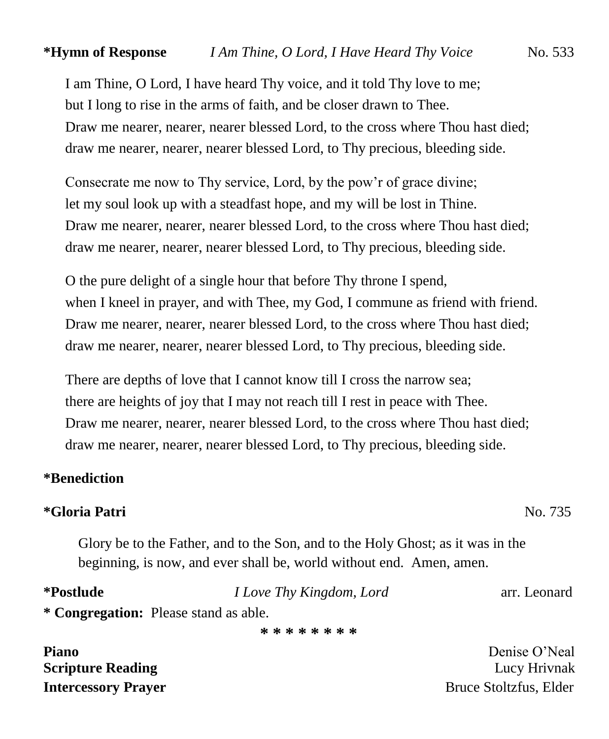## **\*Hymn of Response** *I Am Thine, O Lord, I Have Heard Thy Voice* No. 533

I am Thine, O Lord, I have heard Thy voice, and it told Thy love to me; but I long to rise in the arms of faith, and be closer drawn to Thee. Draw me nearer, nearer, nearer blessed Lord, to the cross where Thou hast died; draw me nearer, nearer, nearer blessed Lord, to Thy precious, bleeding side.

Consecrate me now to Thy service, Lord, by the pow'r of grace divine; let my soul look up with a steadfast hope, and my will be lost in Thine. Draw me nearer, nearer, nearer blessed Lord, to the cross where Thou hast died; draw me nearer, nearer, nearer blessed Lord, to Thy precious, bleeding side.

O the pure delight of a single hour that before Thy throne I spend, when I kneel in prayer, and with Thee, my God, I commune as friend with friend. Draw me nearer, nearer, nearer blessed Lord, to the cross where Thou hast died; draw me nearer, nearer, nearer blessed Lord, to Thy precious, bleeding side.

There are depths of love that I cannot know till I cross the narrow sea; there are heights of joy that I may not reach till I rest in peace with Thee. Draw me nearer, nearer, nearer blessed Lord, to the cross where Thou hast died; draw me nearer, nearer, nearer blessed Lord, to Thy precious, bleeding side.

### **\*Benediction**

# **\*Gloria Patri** No. 735

Glory be to the Father, and to the Son, and to the Holy Ghost; as it was in the beginning, is now, and ever shall be, world without end. Amen, amen.

**\*Postlude** *I Love Thy Kingdom, Lord* arr. Leonard

**\* Congregation:** Please stand as able.

**\* \* \* \* \* \* \* \***

**Piano Denise O'Neal Scripture Reading Scripture Reading Lucy Hrivnak Intercessory Prayer Bruce Stoltzfus, Elder**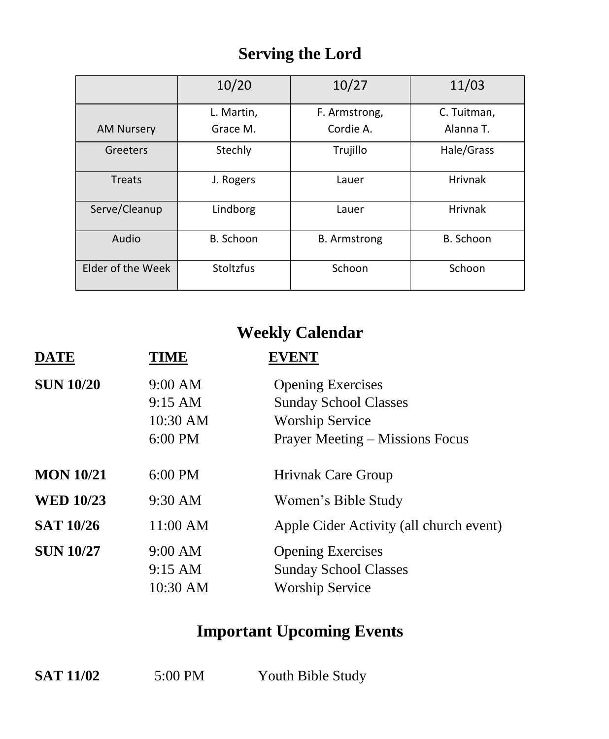# **Serving the Lord**

|                   | 10/20            | 10/27               | 11/03          |
|-------------------|------------------|---------------------|----------------|
|                   | L. Martin,       | F. Armstrong,       | C. Tuitman,    |
| <b>AM Nursery</b> | Grace M.         | Cordie A.           | Alanna T.      |
| Greeters          | Stechly          | Trujillo            | Hale/Grass     |
| <b>Treats</b>     | J. Rogers        | Lauer               | <b>Hrivnak</b> |
| Serve/Cleanup     | Lindborg         | Lauer               | <b>Hrivnak</b> |
| Audio             | B. Schoon        | <b>B.</b> Armstrong | B. Schoon      |
| Elder of the Week | <b>Stoltzfus</b> | Schoon              | Schoon         |

# **Weekly Calendar**

| <b>DATE</b>      | <b>TIME</b> | <b>EVENT</b>                            |
|------------------|-------------|-----------------------------------------|
| <b>SUN 10/20</b> | $9:00$ AM   | <b>Opening Exercises</b>                |
|                  | 9:15 AM     | <b>Sunday School Classes</b>            |
|                  | 10:30 AM    | <b>Worship Service</b>                  |
|                  | 6:00 PM     | <b>Prayer Meeting – Missions Focus</b>  |
| <b>MON 10/21</b> | 6:00 PM     | <b>Hrivnak Care Group</b>               |
| <b>WED 10/23</b> | 9:30 AM     | Women's Bible Study                     |
| <b>SAT 10/26</b> | 11:00 AM    | Apple Cider Activity (all church event) |
| <b>SUN 10/27</b> | 9:00 AM     | <b>Opening Exercises</b>                |
|                  | 9:15 AM     | <b>Sunday School Classes</b>            |
|                  | 10:30 AM    | <b>Worship Service</b>                  |

# **Important Upcoming Events**